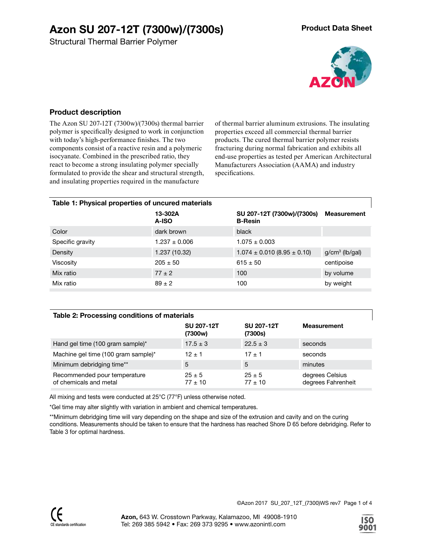Structural Thermal Barrier Polymer



### **Product description**

The Azon SU 207-12T (7300w)/(7300s) thermal barrier polymer is specifically designed to work in conjunction with today's high-performance finishes. The two components consist of a reactive resin and a polymeric isocyanate. Combined in the prescribed ratio, they react to become a strong insulating polymer specially formulated to provide the shear and structural strength, and insulating properties required in the manufacture

of thermal barrier aluminum extrusions. The insulating properties exceed all commercial thermal barrier products. The cured thermal barrier polymer resists fracturing during normal fabrication and exhibits all end-use properties as tested per American Architectural Manufacturers Association (AAMA) and industry specifications.

| Table 1: Physical properties of uncured materials |                   |                                              |                    |  |  |  |  |
|---------------------------------------------------|-------------------|----------------------------------------------|--------------------|--|--|--|--|
|                                                   | 13-302A<br>A-ISO  | SU 207-12T (7300w)/(7300s)<br><b>B-Resin</b> | <b>Measurement</b> |  |  |  |  |
| Color                                             | dark brown        | black                                        |                    |  |  |  |  |
| Specific gravity                                  | $1.237 \pm 0.006$ | $1.075 \pm 0.003$                            |                    |  |  |  |  |
| Density                                           | 1.237 (10.32)     | $1.074 \pm 0.010$ (8.95 $\pm$ 0.10)          | $g/cm3$ (lb/gal)   |  |  |  |  |
| Viscosity                                         | $205 \pm 50$      | $615 \pm 50$                                 | centipoise         |  |  |  |  |
| Mix ratio                                         | $77 \pm 2$        | 100                                          | by volume          |  |  |  |  |
| Mix ratio                                         | $89 \pm 2$        | 100                                          | by weight          |  |  |  |  |

### **Table 2: Processing conditions of materials**

|                                                        | <b>SU 207-12T</b><br>(7300w) | SU 207-12T<br>(7300s)     | <b>Measurement</b>                    |  |
|--------------------------------------------------------|------------------------------|---------------------------|---------------------------------------|--|
| Hand gel time (100 gram sample)*                       | $17.5 \pm 3$                 | $22.5 \pm 3$              | seconds                               |  |
| Machine gel time (100 gram sample)*                    | $12 \pm 1$                   | $17 \pm 1$                | seconds                               |  |
| Minimum debridging time**                              | 5                            | 5                         | minutes                               |  |
| Recommended pour temperature<br>of chemicals and metal | $25 \pm 5$<br>$77 \pm 10$    | $25 \pm 5$<br>$77 \pm 10$ | degrees Celsius<br>degrees Fahrenheit |  |

All mixing and tests were conducted at 25°C (77°F) unless otherwise noted.

\*Gel time may alter slightly with variation in ambient and chemical temperatures.

\*\*Minimum debridging time will vary depending on the shape and size of the extrusion and cavity and on the curing conditions. Measurements should be taken to ensure that the hardness has reached Shore D 65 before debridging. Refer to Table 3 for optimal hardness.

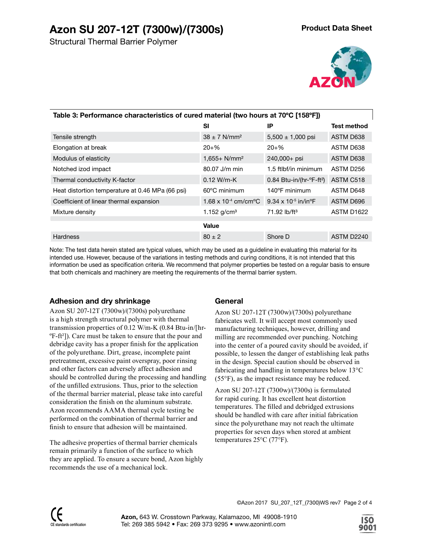

| Table 3: Performance characteristics of cured material (two hours at 70°C [158°F]) |                                            |                                                      |                        |  |  |  |  |
|------------------------------------------------------------------------------------|--------------------------------------------|------------------------------------------------------|------------------------|--|--|--|--|
|                                                                                    | SI                                         | IP                                                   | <b>Test method</b>     |  |  |  |  |
| Tensile strength                                                                   | $38 \pm 7$ N/mm <sup>2</sup>               | $5,500 \pm 1,000$ psi                                | ASTM D638              |  |  |  |  |
| Elongation at break                                                                | $20 + \%$                                  | $20 + \%$                                            | ASTM D638              |  |  |  |  |
| Modulus of elasticity                                                              | $1,655+ N/mm2$                             | 240,000+ psi                                         | ASTM D638              |  |  |  |  |
| Notched izod impact                                                                | $80.07$ J/m min                            | 1.5 ftlbf/in minimum                                 | ASTM D <sub>256</sub>  |  |  |  |  |
| Thermal conductivity K-factor                                                      | $0.12 W/m-K$                               | $0.84$ Btu-in/(hr- $\textdegree$ F-ft <sup>2</sup> ) | ASTM C518              |  |  |  |  |
| Heat distortion temperature at 0.46 MPa (66 psi)                                   | $60^{\circ}$ C minimum                     | 140°F minimum                                        | ASTM D648              |  |  |  |  |
| Coefficient of linear thermal expansion                                            | $1.68 \times 10^{-4}$ cm/cm <sup>o</sup> C | $9.34 \times 10^{-5}$ in/in°F                        | ASTM D696              |  |  |  |  |
| Mixture density                                                                    | 1.152 $g/cm3$                              | $71.92$ lb/ft <sup>3</sup>                           | ASTM D <sub>1622</sub> |  |  |  |  |
|                                                                                    | Value                                      |                                                      |                        |  |  |  |  |
| <b>Hardness</b>                                                                    | $80 \pm 2$                                 | Shore D                                              | ASTM D2240             |  |  |  |  |

Note: The test data herein stated are typical values, which may be used as a guideline in evaluating this material for its intended use. However, because of the variations in testing methods and curing conditions, it is not intended that this information be used as specification criteria. We recommend that polymer properties be tested on a regular basis to ensure that both chemicals and machinery are meeting the requirements of the thermal barrier system.

# **Adhesion and dry shrinkage**

Azon SU 207-12T (7300w)/(7300s) polyurethane is a high strength structural polymer with thermal transmission properties of 0.12 W/m-K (0.84 Btu-in/[hr-ºF-ft²]). Care must be taken to ensure that the pour and debridge cavity has a proper finish for the application of the polyurethane. Dirt, grease, incomplete paint pretreatment, excessive paint overspray, poor rinsing and other factors can adversely affect adhesion and should be controlled during the processing and handling of the unfilled extrusions. Thus, prior to the selection of the thermal barrier material, please take into careful consideration the finish on the aluminum substrate. Azon recommends AAMA thermal cycle testing be performed on the combination of thermal barrier and finish to ensure that adhesion will be maintained.

The adhesive properties of thermal barrier chemicals remain primarily a function of the surface to which they are applied. To ensure a secure bond, Azon highly recommends the use of a mechanical lock.

# **General**

Azon SU 207-12T (7300w)/(7300s) polyurethane fabricates well. It will accept most commonly used manufacturing techniques, however, drilling and milling are recommended over punching. Notching into the center of a poured cavity should be avoided, if possible, to lessen the danger of establishing leak paths in the design. Special caution should be observed in fabricating and handling in temperatures below 13°C (55°F), as the impact resistance may be reduced.

Azon SU 207-12T (7300w)/(7300s) is formulated for rapid curing. It has excellent heat distortion temperatures. The filled and debridged extrusions should be handled with care after initial fabrication since the polyurethane may not reach the ultimate properties for seven days when stored at ambient temperatures 25°C (77°F).

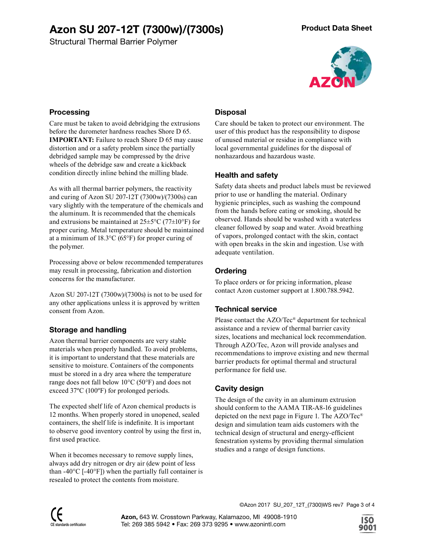Structural Thermal Barrier Polymer



### **Processing**

Care must be taken to avoid debridging the extrusions before the durometer hardness reaches Shore D 65. **IMPORTANT:** Failure to reach Shore D 65 may cause distortion and or a safety problem since the partially debridged sample may be compressed by the drive wheels of the debridge saw and create a kickback condition directly inline behind the milling blade.

As with all thermal barrier polymers, the reactivity and curing of Azon SU 207-12T (7300w)/(7300s) can vary slightly with the temperature of the chemicals and the aluminum. It is recommended that the chemicals and extrusions be maintained at  $25\pm5\degree C$  (77 $\pm10\degree F$ ) for proper curing. Metal temperature should be maintained at a minimum of 18.3°C (65°F) for proper curing of the polymer.

Processing above or below recommended temperatures may result in processing, fabrication and distortion concerns for the manufacturer.

Azon SU 207-12T (7300w)/(7300s) is not to be used for any other applications unless it is approved by written consent from Azon.

# **Storage and handling**

Azon thermal barrier components are very stable materials when properly handled. To avoid problems, it is important to understand that these materials are sensitive to moisture. Containers of the components must be stored in a dry area where the temperature range does not fall below 10°C (50°F) and does not exceed 37ºC (100ºF) for prolonged periods.

The expected shelf life of Azon chemical products is 12 months. When properly stored in unopened, sealed containers, the shelf life is indefinite. It is important to observe good inventory control by using the first in, first used practice.

When it becomes necessary to remove supply lines, always add dry nitrogen or dry air (dew point of less than -40 $^{\circ}$ C [-40 $^{\circ}$ F]) when the partially full container is resealed to protect the contents from moisture.

# **Disposal**

Care should be taken to protect our environment. The user of this product has the responsibility to dispose of unused material or residue in compliance with local governmental guidelines for the disposal of nonhazardous and hazardous waste.

# **Health and safety**

Safety data sheets and product labels must be reviewed prior to use or handling the material. Ordinary hygienic principles, such as washing the compound from the hands before eating or smoking, should be observed. Hands should be washed with a waterless cleaner followed by soap and water. Avoid breathing of vapors, prolonged contact with the skin, contact with open breaks in the skin and ingestion. Use with adequate ventilation.

# **Ordering**

To place orders or for pricing information, please contact Azon customer support at 1.800.788.5942.

# **Technical service**

Please contact the AZO/Tec® department for technical assistance and a review of thermal barrier cavity sizes, locations and mechanical lock recommendation. Through AZO/Tec, Azon will provide analyses and recommendations to improve existing and new thermal barrier products for optimal thermal and structural performance for field use.

# **Cavity design**

The design of the cavity in an aluminum extrusion should conform to the AAMA TIR-A8-16 guidelines depicted on the next page in Figure 1. The AZO/Tec® design and simulation team aids customers with the technical design of structural and energy-efficient fenestration systems by providing thermal simulation studies and a range of design functions.

©Azon 2017 SU\_207\_12T\_(7300)WS rev7 Page 3 of 4